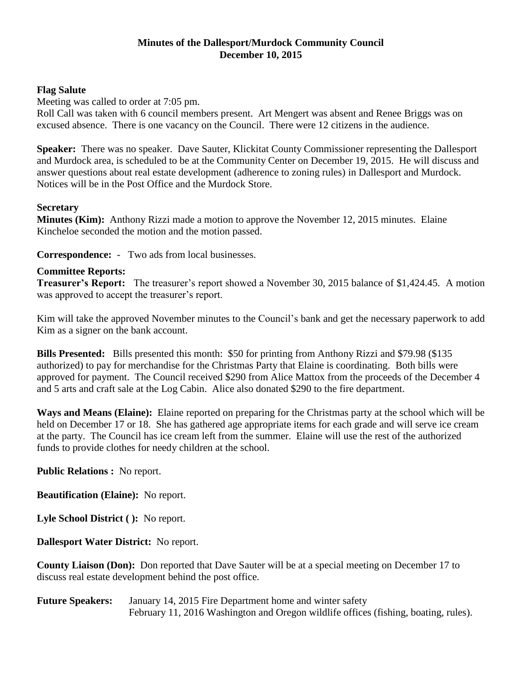# **Minutes of the Dallesport/Murdock Community Council December 10, 2015**

# **Flag Salute**

Meeting was called to order at 7:05 pm.

Roll Call was taken with 6 council members present. Art Mengert was absent and Renee Briggs was on excused absence. There is one vacancy on the Council. There were 12 citizens in the audience.

**Speaker:** There was no speaker. Dave Sauter, Klickitat County Commissioner representing the Dallesport and Murdock area, is scheduled to be at the Community Center on December 19, 2015. He will discuss and answer questions about real estate development (adherence to zoning rules) in Dallesport and Murdock. Notices will be in the Post Office and the Murdock Store.

### **Secretary**

**Minutes (Kim):** Anthony Rizzi made a motion to approve the November 12, 2015 minutes. Elaine Kincheloe seconded the motion and the motion passed.

**Correspondence:** - Two ads from local businesses.

### **Committee Reports:**

**Treasurer's Report:** The treasurer's report showed a November 30, 2015 balance of \$1,424.45. A motion was approved to accept the treasurer's report.

Kim will take the approved November minutes to the Council's bank and get the necessary paperwork to add Kim as a signer on the bank account.

**Bills Presented:** Bills presented this month: \$50 for printing from Anthony Rizzi and \$79.98 (\$135 authorized) to pay for merchandise for the Christmas Party that Elaine is coordinating. Both bills were approved for payment. The Council received \$290 from Alice Mattox from the proceeds of the December 4 and 5 arts and craft sale at the Log Cabin. Alice also donated \$290 to the fire department.

**Ways and Means (Elaine):** Elaine reported on preparing for the Christmas party at the school which will be held on December 17 or 18. She has gathered age appropriate items for each grade and will serve ice cream at the party. The Council has ice cream left from the summer. Elaine will use the rest of the authorized funds to provide clothes for needy children at the school.

**Public Relations :** No report.

**Beautification (Elaine):** No report.

**Lyle School District ( ):** No report.

**Dallesport Water District:** No report.

**County Liaison (Don):** Don reported that Dave Sauter will be at a special meeting on December 17 to discuss real estate development behind the post office.

**Future Speakers:** January 14, 2015 Fire Department home and winter safety February 11, 2016 Washington and Oregon wildlife offices (fishing, boating, rules).